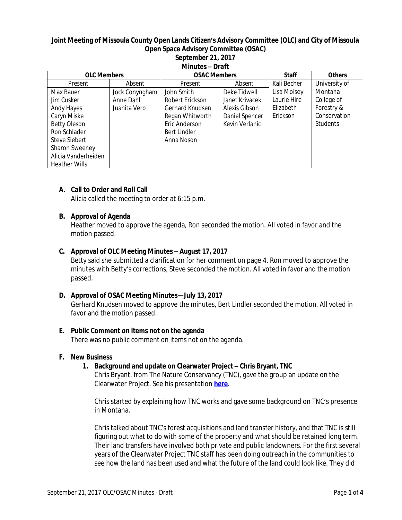### **Joint Meeting of Missoula County Open Lands Citizen's Advisory Committee (OLC) and City of Missoula Open Space Advisory Committee (OSAC) September 21, 2017 Minutes –** *Draft*

| <b>OLC Members</b>   |                | <b>OSAC Members</b> |                      | <b>Staff</b> | <b>Others</b>   |
|----------------------|----------------|---------------------|----------------------|--------------|-----------------|
| Present              | Absent         | Present             | Absent               | Kali Becher  | University of   |
| Max Bauer            | Jock Conyngham | John Smith          | Deke Tidwell         | Lisa Moisey  | Montana         |
| Jim Cusker           | Anne Dahl      | Robert Erickson     | Janet Krivacek       | Laurie Hire  | College of      |
| Andy Hayes           | Juanita Vero   | Gerhard Knudsen     | <b>Alexis Gibson</b> | Elizabeth    | Forestry &      |
| Caryn Miske          |                | Regan Whitworth     | Daniel Spencer       | Erickson     | Conservation    |
| <b>Betty Oleson</b>  |                | Eric Anderson       | Kevin Verlanic       |              | <b>Students</b> |
| Ron Schlader         |                | <b>Bert Lindler</b> |                      |              |                 |
| Steve Siebert        |                | Anna Noson          |                      |              |                 |
| Sharon Sweeney       |                |                     |                      |              |                 |
| Alicia Vanderheiden  |                |                     |                      |              |                 |
| <b>Heather Wills</b> |                |                     |                      |              |                 |

# **A. Call to Order and Roll Call**

Alicia called the meeting to order at 6:15 p.m.

# **B. Approval of Agenda**

Heather moved to approve the agenda, Ron seconded the motion. All voted in favor and the motion passed.

### **C. Approval of OLC Meeting Minutes – August 17, 2017**

Betty said she submitted a clarification for her comment on page 4. Ron moved to approve the minutes with Betty's corrections, Steve seconded the motion. All voted in favor and the motion passed.

#### **D. Approval of OSAC Meeting Minutes—July 13, 2017**

Gerhard Knudsen moved to approve the minutes, Bert Lindler seconded the motion. All voted in favor and the motion passed.

#### **E. Public Comment on items not on the agenda**

There was no public comment on items not on the agenda.

### **F. New Business**

#### **1. Background and update on Clearwater Project – Chris Bryant, TNC**

Chris Bryant, from The Nature Conservancy (TNC), gave the group an update on the Clearwater Project. See his presentation **[here](https://shared.missoulacounty.us/index.php/s/OB8MopbwkiQRNfK)**.

Chris started by explaining how TNC works and gave some background on TNC's presence in Montana.

Chris talked about TNC's forest acquisitions and land transfer history, and that TNC is still figuring out what to do with some of the property and what should be retained long term. Their land transfers have involved both private and public landowners. For the first several years of the Clearwater Project TNC staff has been doing outreach in the communities to see how the land has been used and what the future of the land could look like. They did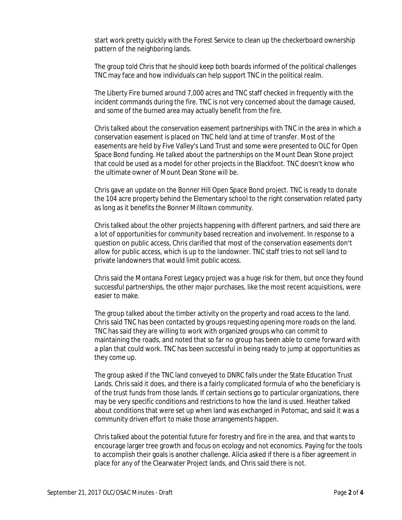start work pretty quickly with the Forest Service to clean up the checkerboard ownership pattern of the neighboring lands.

The group told Chris that he should keep both boards informed of the political challenges TNC may face and how individuals can help support TNC in the political realm.

The Liberty Fire burned around 7,000 acres and TNC staff checked in frequently with the incident commands during the fire. TNC is not very concerned about the damage caused, and some of the burned area may actually benefit from the fire.

Chris talked about the conservation easement partnerships with TNC in the area in which a conservation easement is placed on TNC held land at time of transfer. Most of the easements are held by Five Valley's Land Trust and some were presented to OLC for Open Space Bond funding. He talked about the partnerships on the Mount Dean Stone project that could be used as a model for other projects in the Blackfoot. TNC doesn't know who the ultimate owner of Mount Dean Stone will be.

Chris gave an update on the Bonner Hill Open Space Bond project. TNC is ready to donate the 104 acre property behind the Elementary school to the right conservation related party as long as it benefits the Bonner Milltown community.

Chris talked about the other projects happening with different partners, and said there are a lot of opportunities for community based recreation and involvement. In response to a question on public access, Chris clarified that most of the conservation easements don't allow for public access, which is up to the landowner. TNC staff tries to not sell land to private landowners that would limit public access.

Chris said the Montana Forest Legacy project was a huge risk for them, but once they found successful partnerships, the other major purchases, like the most recent acquisitions, were easier to make.

The group talked about the timber activity on the property and road access to the land. Chris said TNC has been contacted by groups requesting opening more roads on the land. TNC has said they are willing to work with organized groups who can commit to maintaining the roads, and noted that so far no group has been able to come forward with a plan that could work. TNC has been successful in being ready to jump at opportunities as they come up.

The group asked if the TNC land conveyed to DNRC falls under the State Education Trust Lands. Chris said it does, and there is a fairly complicated formula of who the beneficiary is of the trust funds from those lands. If certain sections go to particular organizations, there may be very specific conditions and restrictions to how the land is used. Heather talked about conditions that were set up when land was exchanged in Potomac, and said it was a community driven effort to make those arrangements happen.

Chris talked about the potential future for forestry and fire in the area, and that wants to encourage larger tree growth and focus on ecology and not economics. Paying for the tools to accomplish their goals is another challenge. Alicia asked if there is a fiber agreement in place for any of the Clearwater Project lands, and Chris said there is not.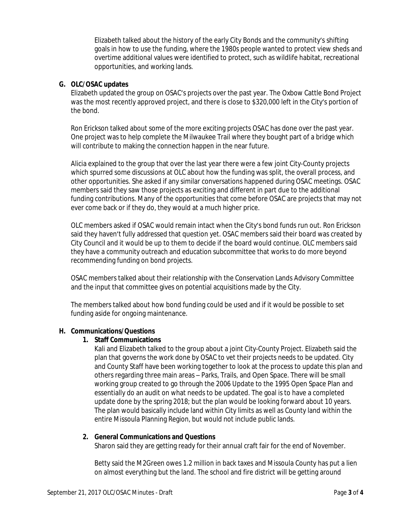Elizabeth talked about the history of the early City Bonds and the community's shifting goals in how to use the funding, where the 1980s people wanted to protect view sheds and overtime additional values were identified to protect, such as wildlife habitat, recreational opportunities, and working lands.

# **G. OLC/OSAC updates**

Elizabeth updated the group on OSAC's projects over the past year. The Oxbow Cattle Bond Project was the most recently approved project, and there is close to \$320,000 left in the City's portion of the bond.

Ron Erickson talked about some of the more exciting projects OSAC has done over the past year. One project was to help complete the Milwaukee Trail where they bought part of a bridge which will contribute to making the connection happen in the near future.

Alicia explained to the group that over the last year there were a few joint City-County projects which spurred some discussions at OLC about how the funding was split, the overall process, and other opportunities. She asked if any similar conversations happened during OSAC meetings. OSAC members said they saw those projects as exciting and different in part due to the additional funding contributions. Many of the opportunities that come before OSAC are projects that may not ever come back or if they do, they would at a much higher price.

OLC members asked if OSAC would remain intact when the City's bond funds run out. Ron Erickson said they haven't fully addressed that question yet. OSAC members said their board was created by City Council and it would be up to them to decide if the board would continue. OLC members said they have a community outreach and education subcommittee that works to do more beyond recommending funding on bond projects.

OSAC members talked about their relationship with the Conservation Lands Advisory Committee and the input that committee gives on potential acquisitions made by the City.

The members talked about how bond funding could be used and if it would be possible to set funding aside for ongoing maintenance.

# **H. Communications/Questions**

# **1. Staff Communications**

Kali and Elizabeth talked to the group about a joint City-County Project. Elizabeth said the plan that governs the work done by OSAC to vet their projects needs to be updated. City and County Staff have been working together to look at the process to update this plan and others regarding three main areas – Parks, Trails, and Open Space. There will be small working group created to go through the 2006 Update to the 1995 Open Space Plan and essentially do an audit on what needs to be updated. The goal is to have a completed update done by the spring 2018; but the plan would be looking forward about 10 years. The plan would basically include land within City limits as well as County land within the entire Missoula Planning Region, but would not include public lands.

# **2. General Communications and Questions**

Sharon said they are getting ready for their annual craft fair for the end of November.

Betty said the M2Green owes 1.2 million in back taxes and Missoula County has put a lien on almost everything but the land. The school and fire district will be getting around